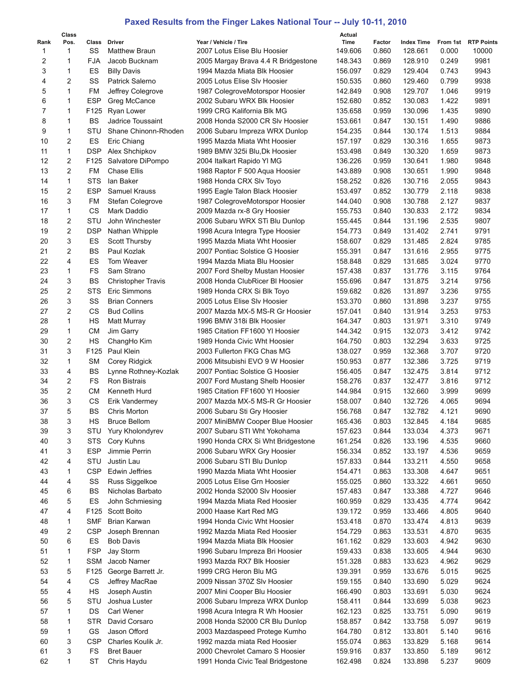## **Paxed Results from the Finger Lakes National Tour -- July 10-11, 2010**

|      | Class          |                  |                           |                                     | Actual  |        |                   |       |                     |
|------|----------------|------------------|---------------------------|-------------------------------------|---------|--------|-------------------|-------|---------------------|
| Rank | Pos.           | Class            | Driver                    | Year / Vehicle / Tire               | Time    | Factor | <b>Index Time</b> |       | From 1st RTP Points |
| 1    | 1              | SS               | <b>Matthew Braun</b>      | 2007 Lotus Elise Blu Hoosier        | 149.606 | 0.860  | 128.661           | 0.000 | 10000               |
| 2    | 1              | <b>FJA</b>       | Jacob Bucknam             | 2005 Margay Brava 4.4 R Bridgestone | 148.343 | 0.869  | 128.910           | 0.249 | 9981                |
| 3    | 1              | ES               | <b>Billy Davis</b>        | 1994 Mazda Miata Blk Hoosier        | 156.097 | 0.829  | 129.404           | 0.743 | 9943                |
| 4    | 2              | SS               | Patrick Salerno           | 2005 Lotus Elise Slv Hoosier        | 150.535 | 0.860  | 129.460           | 0.799 | 9938                |
| 5    | 1              | <b>FM</b>        | Jeffrey Colegrove         | 1987 ColegroveMotorspor Hoosier     | 142.849 | 0.908  | 129.707           | 1.046 | 9919                |
| 6    | 1              | <b>ESP</b>       | Greg McCance              | 2002 Subaru WRX Blk Hoosier         | 152.680 | 0.852  | 130.083           | 1.422 | 9891                |
| 7    | 1              | F125             | Ryan Lower                | 1999 CRG Kalifornia Blk MG          | 135.658 | 0.959  | 130.096           | 1.435 | 9890                |
| 8    | 1              | <b>BS</b>        | Jadrice Toussaint         | 2008 Honda S2000 CR Slv Hoosier     | 153.661 | 0.847  | 130.151           | 1.490 | 9886                |
| 9    | $\mathbf{1}$   | STU              | Shane Chinonn-Rhoden      | 2006 Subaru Impreza WRX Dunlop      | 154.235 | 0.844  | 130.174           | 1.513 | 9884                |
| 10   | $\overline{2}$ | ES               | Eric Chiang               | 1995 Mazda Miata Wht Hoosier        | 157.197 | 0.829  | 130.316           | 1.655 | 9873                |
| 11   | 1              | <b>DSP</b>       | Alex Shchipkov            | 1989 BMW 325i Blu, Dk Hoosier       | 153.498 | 0.849  | 130.320           | 1.659 | 9873                |
| 12   | 2              | F125             | Salvatore DiPompo         | 2004 Italkart Rapido YI MG          | 136.226 | 0.959  | 130.641           | 1.980 | 9848                |
| 13   | $\overline{2}$ | FM               | <b>Chase Ellis</b>        | 1988 Raptor F 500 Aqua Hoosier      | 143.889 | 0.908  | 130.651           | 1.990 | 9848                |
| 14   | $\mathbf{1}$   | STS              | lan Baker                 | 1988 Honda CRX Slv Toyo             | 158.252 | 0.826  | 130.716           | 2.055 | 9843                |
| 15   | 2              | <b>ESP</b>       | Samuel Krauss             | 1995 Eagle Talon Black Hoosier      | 153.497 | 0.852  | 130.779           | 2.118 | 9838                |
| 16   | 3              | FM               | Stefan Colegrove          | 1987 ColegroveMotorspor Hoosier     | 144.040 | 0.908  | 130.788           | 2.127 | 9837                |
| 17   | 1              | CS               | Mark Daddio               | 2009 Mazda rx-8 Gry Hoosier         | 155.753 | 0.840  | 130.833           | 2.172 | 9834                |
| 18   | 2              | STU              | John Winchester           | 2006 Subaru WRX STi Blu Dunlop      |         | 0.844  | 131.196           | 2.535 | 9807                |
|      | $\overline{2}$ | <b>DSP</b>       |                           |                                     | 155.445 |        |                   |       |                     |
| 19   |                |                  | Nathan Whipple            | 1998 Acura Integra Type Hoosier     | 154.773 | 0.849  | 131.402           | 2.741 | 9791                |
| 20   | 3              | ES               | <b>Scott Thursby</b>      | 1995 Mazda Miata Wht Hoosier        | 158.607 | 0.829  | 131.485           | 2.824 | 9785                |
| 21   | $\overline{2}$ | <b>BS</b>        | Paul Kozlak               | 2007 Pontiac Solstice G Hoosier     | 155.391 | 0.847  | 131.616           | 2.955 | 9775                |
| 22   | 4              | ES               | Tom Weaver                | 1994 Mazda Miata Blu Hoosier        | 158.848 | 0.829  | 131.685           | 3.024 | 9770                |
| 23   | $\mathbf{1}$   | <b>FS</b>        | Sam Strano                | 2007 Ford Shelby Mustan Hoosier     | 157.438 | 0.837  | 131.776           | 3.115 | 9764                |
| 24   | 3              | <b>BS</b>        | <b>Christopher Travis</b> | 2008 Honda ClubRicer BI Hoosier     | 155.696 | 0.847  | 131.875           | 3.214 | 9756                |
| 25   | $\overline{2}$ | STS              | Eric Simmons              | 1989 Honda CRX Si Blk Toyo          | 159.682 | 0.826  | 131.897           | 3.236 | 9755                |
| 26   | 3              | SS               | <b>Brian Conners</b>      | 2005 Lotus Elise SIv Hoosier        | 153.370 | 0.860  | 131.898           | 3.237 | 9755                |
| 27   | 2              | СS               | <b>Bud Collins</b>        | 2007 Mazda MX-5 MS-R Gr Hoosier     | 157.041 | 0.840  | 131.914           | 3.253 | 9753                |
| 28   | $\mathbf{1}$   | НS               | Matt Murray               | 1996 BMW 318i Blk Hoosier           | 164.347 | 0.803  | 131.971           | 3.310 | 9749                |
| 29   | 1              | <b>CM</b>        | Jim Garry                 | 1985 Citation FF1600 YI Hoosier     | 144.342 | 0.915  | 132.073           | 3.412 | 9742                |
| 30   | 2              | <b>HS</b>        | ChangHo Kim               | 1989 Honda Civic Wht Hoosier        | 164.750 | 0.803  | 132.294           | 3.633 | 9725                |
| 31   | 3              | F125             | Paul Klein                | 2003 Fullerton FKG Chas MG          | 138.027 | 0.959  | 132.368           | 3.707 | 9720                |
| 32   | 1              | <b>SM</b>        | Corey Ridgick             | 2006 Mitsubishi EVO 9 W Hoosier     | 150.953 | 0.877  | 132.386           | 3.725 | 9719                |
| 33   | 4              | <b>BS</b>        | Lynne Rothney-Kozlak      | 2007 Pontiac Solstice G Hoosier     | 156.405 | 0.847  | 132.475           | 3.814 | 9712                |
| 34   | $\overline{2}$ | <b>FS</b>        | Ron Bistrais              | 2007 Ford Mustang Shelb Hoosier     | 158.276 | 0.837  | 132.477           | 3.816 | 9712                |
| 35   | $\overline{2}$ | СM               | Kenneth Hurd              | 1985 Citation FF1600 YI Hoosier     | 144.984 | 0.915  | 132.660           | 3.999 | 9699                |
| 36   | 3              | <b>CS</b>        | Erik Vandermey            | 2007 Mazda MX-5 MS-R Gr Hoosier     | 158.007 | 0.840  | 132.726           | 4.065 | 9694                |
| 37   | 5              | <b>BS</b>        | Chris Morton              |                                     | 156.768 | 0.847  | 132.782           | 4.121 | 9690                |
|      |                |                  |                           | 2006 Subaru Sti Gry Hoosier         |         |        |                   |       |                     |
| 38   | 3              | HS               | <b>Bruce Bellom</b>       | 2007 MiniBMW Cooper Blue Hoosier    | 165.436 | 0.803  | 132.845           | 4.184 | 9685                |
| 39   | 3              | STU              | Yury Kholondyrev          | 2007 Subaru STI Wht Yokohama        | 157.623 | 0.844  | 133.034           | 4.373 | 9671                |
| 40   | 3              | STS.             | Cory Kuhns                | 1990 Honda CRX Si Wht Bridgestone   | 161.254 | 0.826  | 133.196           | 4.535 | 9660                |
| 41   | 3              | <b>ESP</b>       | Jimmie Perrin             | 2006 Subaru WRX Gry Hoosier         | 156.334 | 0.852  | 133.197           | 4.536 | 9659                |
| 42   | 4              | STU              | Justin Lau                | 2006 Subaru STI Blu Dunlop          | 157.833 | 0.844  | 133.211           | 4.550 | 9658                |
| 43   | 1              | <b>CSP</b>       | <b>Edwin Jeffries</b>     | 1990 Mazda Miata Wht Hoosier        | 154.471 | 0.863  | 133.308           | 4.647 | 9651                |
| 44   | 4              | SS               | Russ Siggelkoe            | 2005 Lotus Elise Grn Hoosier        | 155.025 | 0.860  | 133.322           | 4.661 | 9650                |
| 45   | 6              | BS               | Nicholas Barbato          | 2002 Honda S2000 Slv Hoosier        | 157.483 | 0.847  | 133.388           | 4.727 | 9646                |
| 46   | 5              | ES               | John Schmiesing           | 1994 Mazda Miata Red Hoosier        | 160.959 | 0.829  | 133.435           | 4.774 | 9642                |
| 47   | 4              | F125             | <b>Scott Boito</b>        | 2000 Haase Kart Red MG              | 139.172 | 0.959  | 133.466           | 4.805 | 9640                |
| 48   | 1              | <b>SMF</b>       | Brian Karwan              | 1994 Honda Civic Wht Hoosier        | 153.418 | 0.870  | 133.474           | 4.813 | 9639                |
| 49   | 2              | <b>CSP</b>       | Joseph Brennan            | 1992 Mazda Miata Red Hoosier        | 154.729 | 0.863  | 133.531           | 4.870 | 9635                |
| 50   | 6              | ES               | <b>Bob Davis</b>          | 1994 Mazda Miata Blk Hoosier        | 161.162 | 0.829  | 133.603           | 4.942 | 9630                |
| 51   | 1              | <b>FSP</b>       | Jay Storm                 | 1996 Subaru Impreza Bri Hoosier     | 159.433 | 0.838  | 133.605           | 4.944 | 9630                |
| 52   | 1              | SSM              | Jacob Namer               | 1993 Mazda RX7 Blk Hoosier          | 151.328 | 0.883  | 133.623           | 4.962 | 9629                |
| 53   | 5              | F <sub>125</sub> | George Barrett Jr.        | 1999 CRG Heron Blu MG               | 139.391 | 0.959  | 133.676           | 5.015 | 9625                |
| 54   | 4              | CS               | Jeffrey MacRae            | 2009 Nissan 370Z Slv Hoosier        | 159.155 | 0.840  | 133.690           | 5.029 | 9624                |
| 55   | 4              | HS               | Joseph Austin             | 2007 Mini Cooper Blu Hoosier        | 166.490 | 0.803  | 133.691           | 5.030 | 9624                |
|      | 5              | STU              | Joshua Luster             |                                     |         |        |                   |       |                     |
| 56   |                |                  |                           | 2006 Subaru Impreza WRX Dunlop      | 158.411 | 0.844  | 133.699           | 5.038 | 9623                |
| 57   | 1              | DS               | Carl Wener                | 1998 Acura Integra R Wh Hoosier     | 162.123 | 0.825  | 133.751           | 5.090 | 9619                |
| 58   | 1              | <b>STR</b>       | David Corsaro             | 2008 Honda S2000 CR Blu Dunlop      | 158.857 | 0.842  | 133.758           | 5.097 | 9619                |
| 59   | 1              | GS               | Jason Offord              | 2003 Mazdaspeed Protege Kumho       | 164.780 | 0.812  | 133.801           | 5.140 | 9616                |
| 60   | 3              | <b>CSP</b>       | Charles Koulik Jr.        | 1992 mazda miata Red Hoosier        | 155.074 | 0.863  | 133.829           | 5.168 | 9614                |
| 61   | 3              | FS               | <b>Bret Bauer</b>         | 2000 Chevrolet Camaro S Hoosier     | 159.916 | 0.837  | 133.850           | 5.189 | 9612                |
| 62   | 1              | <b>ST</b>        | Chris Haydu               | 1991 Honda Civic Teal Bridgestone   | 162.498 | 0.824  | 133.898           | 5.237 | 9609                |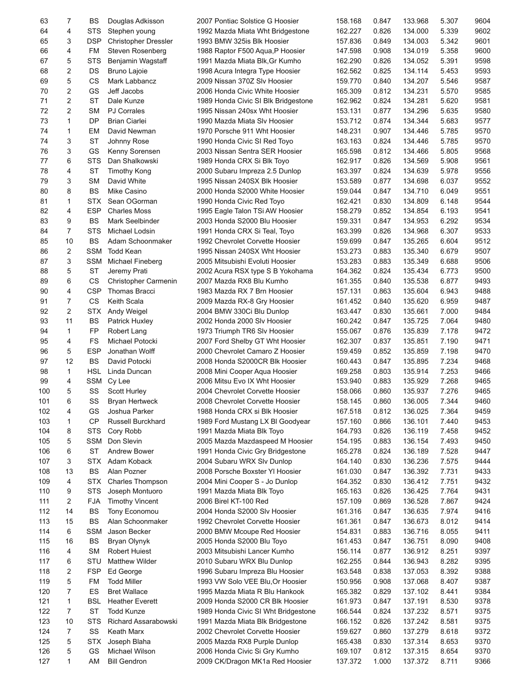| 63       | 7              | BS               | Douglas Adkisson                             | 2007 Pontiac Solstice G Hoosier                         | 158.168            | 0.847          | 133.968            | 5.307          | 9604         |
|----------|----------------|------------------|----------------------------------------------|---------------------------------------------------------|--------------------|----------------|--------------------|----------------|--------------|
| 64       | 4              | <b>STS</b>       | Stephen young                                | 1992 Mazda Miata Wht Bridgestone                        | 162.227            | 0.826          | 134.000            | 5.339          | 9602         |
| 65       | 3              | <b>DSP</b>       | <b>Christopher Dressler</b>                  | 1993 BMW 325is Blk Hoosier                              | 157.836            | 0.849          | 134.003            | 5.342          | 9601         |
| 66       | 4              | FM               | Steven Rosenberg                             | 1988 Raptor F500 Aqua, P Hoosier                        | 147.598            | 0.908          | 134.019            | 5.358          | 9600         |
| 67       | 5              | <b>STS</b>       | Benjamin Wagstaff                            | 1991 Mazda Miata Blk, Gr Kumho                          | 162.290            | 0.826          | 134.052            | 5.391          | 9598         |
| 68       | 2              | DS               | Bruno Lajoie                                 | 1998 Acura Integra Type Hoosier                         | 162.562            | 0.825          | 134.114            | 5.453          | 9593         |
| 69       | 5              | <b>CS</b>        | Mark Labbancz                                | 2009 Nissan 370Z Slv Hoosier                            | 159.770            | 0.840          | 134.207            | 5.546          | 9587         |
| 70       | 2              | GS               | Jeff Jacobs                                  | 2006 Honda Civic White Hoosier                          | 165.309            | 0.812          | 134.231            | 5.570          | 9585         |
| 71       | 2              | <b>ST</b>        | Dale Kunze                                   | 1989 Honda Civic SI Blk Bridgestone                     | 162.962            | 0.824          | 134.281            | 5.620          | 9581         |
| 72       | 2              | <b>SM</b>        | <b>PJ Corrales</b>                           | 1995 Nissan 240sx Wht Hoosier                           | 153.131            | 0.877          | 134.296            | 5.635          | 9580         |
| 73       | $\mathbf{1}$   | DP               | <b>Brian Ciarlei</b>                         | 1990 Mazda Miata SIv Hoosier                            | 153.712            | 0.874          | 134.344            | 5.683          | 9577         |
| 74       | 1              | EM               | David Newman                                 | 1970 Porsche 911 Wht Hoosier                            | 148.231            | 0.907          | 134.446            | 5.785          | 9570         |
| 74       | 3              | <b>ST</b>        | Johnny Rose                                  | 1990 Honda Civic SI Red Toyo                            | 163.163            | 0.824          | 134.446            | 5.785          | 9570         |
| 76       | 3              | GS               | Kenny Sorensen                               | 2003 Nissan Sentra SER Hoosier                          | 165.598            | 0.812          | 134.466            | 5.805          | 9568         |
| 77       | 6              | STS              | Dan Shalkowski                               | 1989 Honda CRX Si Blk Toyo                              | 162.917            | 0.826          | 134.569            | 5.908          | 9561         |
| 78       | 4              | <b>ST</b>        | <b>Timothy Kong</b>                          | 2000 Subaru Impreza 2.5 Dunlop                          | 163.397            | 0.824          | 134.639            | 5.978          | 9556         |
| 79       | 3              | <b>SM</b>        | David White                                  | 1995 Nissan 240SX Blk Hoosier                           | 153.589            | 0.877          | 134.698            | 6.037          | 9552         |
| 80       | 8              | <b>BS</b>        | Mike Casino                                  | 2000 Honda S2000 White Hoosier                          | 159.044            | 0.847          | 134.710            | 6.049          | 9551         |
| 81       | 1              | STX              | Sean OGorman                                 | 1990 Honda Civic Red Toyo                               | 162.421            | 0.830          | 134.809            | 6.148          | 9544         |
| 82       | 4              | <b>ESP</b>       | <b>Charles Moss</b>                          | 1995 Eagle Talon TSi AW Hoosier                         | 158.279            | 0.852          | 134.854            | 6.193          | 9541         |
| 83       | 9              | <b>BS</b>        | Mark Seelbinder                              | 2003 Honda S2000 Blu Hoosier                            | 159.331            | 0.847          | 134.953            | 6.292          | 9534         |
| 84       | $\overline{7}$ | <b>STS</b>       | Michael Lodsin                               | 1991 Honda CRX Si Teal, Toyo                            | 163.399            | 0.826          | 134.968            | 6.307          | 9533         |
| 85       | 10             | BS               | Adam Schoonmaker                             | 1992 Chevrolet Corvette Hoosier                         | 159.699            | 0.847          | 135.265            | 6.604          | 9512         |
| 86       | 2              | <b>SSM</b>       | <b>Todd Kean</b>                             | 1995 Nissan 240SX Wht Hoosier                           | 153.273            | 0.883          | 135.340            | 6.679          | 9507         |
| 87       | 3              | <b>SSM</b>       | Michael Fineberg                             | 2005 Mitsubishi Evoluti Hoosier                         | 153.283            | 0.883          | 135.349            | 6.688          | 9506         |
| 88       | 5<br>6         | <b>ST</b>        | Jeremy Prati                                 | 2002 Acura RSX type S B Yokohama                        | 164.362            | 0.824          | 135.434            | 6.773          | 9500         |
| 89       | 4              | CS<br><b>CSP</b> | Christopher Carmenin<br><b>Thomas Bracci</b> | 2007 Mazda RX8 Blu Kumho<br>1983 Mazda RX 7 Brn Hoosier | 161.355<br>157.131 | 0.840<br>0.863 | 135.538<br>135.604 | 6.877<br>6.943 | 9493<br>9488 |
| 90<br>91 | 7              | CS               | Keith Scala                                  | 2009 Mazda RX-8 Gry Hoosier                             | 161.452            | 0.840          | 135.620            | 6.959          | 9487         |
| 92       | 2              | <b>STX</b>       | Andy Weigel                                  | 2004 BMW 330Ci Blu Dunlop                               | 163.447            | 0.830          | 135.661            | 7.000          | 9484         |
| 93       | 11             | BS               | Patrick Huxley                               | 2002 Honda 2000 Slv Hoosier                             | 160.242            | 0.847          | 135.725            | 7.064          | 9480         |
| 94       | 1              | FP               | Robert Lang                                  | 1973 Triumph TR6 Slv Hoosier                            | 155.067            | 0.876          | 135.839            | 7.178          | 9472         |
| 95       | 4              | <b>FS</b>        | Michael Potocki                              | 2007 Ford Shelby GT Wht Hoosier                         | 162.307            | 0.837          | 135.851            | 7.190          | 9471         |
| 96       | 5              | <b>ESP</b>       | Jonathan Wolff                               | 2000 Chevrolet Camaro Z Hoosier                         | 159.459            | 0.852          | 135.859            | 7.198          | 9470         |
| 97       | 12             | <b>BS</b>        | David Potocki                                | 2008 Honda S2000CR Blk Hoosier                          | 160.443            | 0.847          | 135.895            | 7.234          | 9468         |
| 98       | $\mathbf 1$    | <b>HSL</b>       | Linda Duncan                                 | 2008 Mini Cooper Aqua Hoosier                           | 169.258            | 0.803          | 135.914            | 7.253          | 9466         |
| 99       | 4              | <b>SSM</b>       | Cy Lee                                       | 2006 Mitsu Evo IX Wht Hoosier                           | 153.940            | 0.883          | 135.929            | 7.268          | 9465         |
| 100      | 5              | SS               | Scott Hurley                                 | 2004 Chevrolet Corvette Hoosier                         | 158.066            | 0.860          | 135.937            | 7.276          | 9465         |
| 101      | 6              | SS               | <b>Bryan Hertweck</b>                        | 2008 Chevrolet Corvette Hoosier                         | 158.145            | 0.860          | 136.005            | 7.344          | 9460         |
| 102      | 4              | GS               | Joshua Parker                                | 1988 Honda CRX si Blk Hoosier                           | 167.518            | 0.812          | 136.025            | 7.364          | 9459         |
| 103      | 1              | <b>CP</b>        | Russell Burckhard                            | 1989 Ford Mustang LX BI Goodyear                        | 157.160            | 0.866          | 136.101            | 7.440          | 9453         |
| 104      | 8              | <b>STS</b>       | Cory Robb                                    | 1991 Mazda Miata Blk Toyo                               | 164.793            | 0.826          | 136.119            | 7.458          | 9452         |
| 105      | 5              | <b>SSM</b>       | Don Slevin                                   | 2005 Mazda Mazdaspeed M Hoosier                         | 154.195            | 0.883          | 136.154            | 7.493          | 9450         |
| 106      | 6              | <b>ST</b>        | <b>Andrew Bower</b>                          | 1991 Honda Civic Gry Bridgestone                        | 165.278            | 0.824          | 136.189            | 7.528          | 9447         |
| 107      | 3              | <b>STX</b>       | Adam Koback                                  | 2004 Subaru WRX Slv Dunlop                              | 164.140            | 0.830          | 136.236            | 7.575          | 9444         |
| 108      | 13             | BS               | Alan Pozner                                  | 2008 Porsche Boxster YI Hoosier                         | 161.030            | 0.847          | 136.392            | 7.731          | 9433         |
| 109      | 4              | STX              | Charles Thompson                             | 2004 Mini Cooper S - Jo Dunlop                          | 164.352            | 0.830          | 136.412            | 7.751          | 9432         |
| 110      | 9              | <b>STS</b>       | Joseph Montuoro                              | 1991 Mazda Miata Blk Toyo                               | 165.163            | 0.826          | 136.425            | 7.764          | 9431         |
| 111      | 2              | <b>FJA</b>       | <b>Timothy Vincent</b>                       | 2006 Birel KT-100 Red                                   | 157.109            | 0.869          | 136.528            | 7.867          | 9424         |
| 112      | 14             | BS               | Tony Economou                                | 2004 Honda S2000 Slv Hoosier                            | 161.316            | 0.847          | 136.635            | 7.974          | 9416         |
| 113      | 15             | BS               | Alan Schoonmaker                             | 1992 Chevrolet Corvette Hoosier                         | 161.361            | 0.847          | 136.673            | 8.012          | 9414         |
| 114      | 6              | <b>SSM</b>       | Jason Becker                                 | 2000 BMW Mcoupe Red Hoosier                             | 154.831            | 0.883          | 136.716            | 8.055          | 9411         |
| 115      | 16             | <b>BS</b>        | Bryan Olynyk                                 | 2005 Honda S2000 Blu Toyo                               | 161.453            | 0.847          | 136.751            | 8.090          | 9408         |
| 116      | 4              | <b>SM</b>        | <b>Robert Huiest</b>                         | 2003 Mitsubishi Lancer Kumho                            | 156.114            | 0.877          | 136.912            | 8.251          | 9397         |
| 117      | 6              | STU              | Matthew Wilder                               | 2010 Subaru WRX Blu Dunlop                              | 162.255            | 0.844          | 136.943            | 8.282          | 9395         |
| 118      | 2              | <b>FSP</b>       | Ed George                                    | 1996 Subaru Impreza Blu Hoosier                         | 163.548            | 0.838          | 137.053            | 8.392          | 9388         |
| 119      | 5              | FM               | <b>Todd Miller</b>                           | 1993 VW Solo VEE Blu, Or Hoosier                        | 150.956            | 0.908          | 137.068            | 8.407          | 9387         |
| 120      | 7              | ES               | <b>Bret Wallace</b>                          | 1995 Mazda Miata R Blu Hankook                          | 165.382            | 0.829          | 137.102            | 8.441          | 9384         |
| 121      | 1              | <b>BSL</b>       | <b>Heather Everett</b>                       | 2009 Honda S2000 CR Blk Hoosier                         | 161.973            | 0.847          | 137.191            | 8.530          | 9378         |
| 122      | 7              | <b>ST</b>        | <b>Todd Kunze</b>                            | 1989 Honda Civic SI Wht Bridgestone                     | 166.544            | 0.824          | 137.232            | 8.571          | 9375         |
| 123      | 10             | <b>STS</b>       | Richard Assarabowski                         | 1991 Mazda Miata Blk Bridgestone                        | 166.152            | 0.826          | 137.242            | 8.581          | 9375         |
| 124      | 7              | SS               | Keath Marx                                   | 2002 Chevrolet Corvette Hoosier                         | 159.627            | 0.860          | 137.279            | 8.618          | 9372         |
| 125      | 5              | <b>STX</b>       | Joseph Blaha                                 | 2005 Mazda RX8 Purple Dunlop                            | 165.438            | 0.830          | 137.314            | 8.653          | 9370         |
| 126      | 5              | GS               | Michael Wilson                               | 2006 Honda Civic Si Gry Kumho                           | 169.107            | 0.812          | 137.315            | 8.654          | 9370         |
| 127      | 1              | AM               | <b>Bill Gendron</b>                          | 2009 CK/Dragon MK1a Red Hoosier                         | 137.372            | 1.000          | 137.372            | 8.711          | 9366         |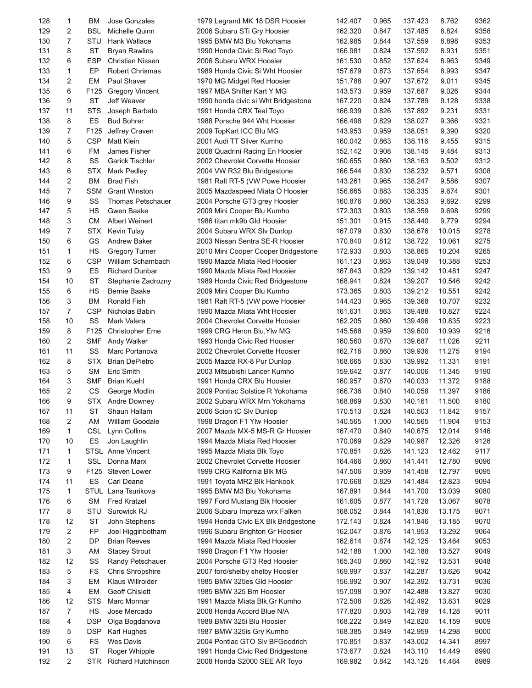| 128 | 1              | ВM               | Jose Gonzales            | 1979 Legrand MK 18 DSR Hoosier      | 142.407 | 0.965 | 137.423 | 8.762  | 9362 |
|-----|----------------|------------------|--------------------------|-------------------------------------|---------|-------|---------|--------|------|
| 129 | 2              | <b>BSL</b>       | Michelle Quinn           | 2006 Subaru STi Gry Hoosier         | 162.320 | 0.847 | 137.485 | 8.824  | 9358 |
| 130 | $\overline{7}$ | STU              | Hank Wallace             | 1995 BMW M3 Blu Yokohama            | 162.985 | 0.844 | 137.559 | 8.898  | 9353 |
| 131 | 8              | <b>ST</b>        | <b>Bryan Rawlins</b>     | 1990 Honda Civic Si Red Toyo        | 166.981 | 0.824 | 137.592 | 8.931  | 9351 |
| 132 | 6              | <b>ESP</b>       | Christian Nissen         | 2006 Subaru WRX Hoosier             | 161.530 | 0.852 | 137.624 | 8.963  | 9349 |
| 133 | 1              | EР               | <b>Robert Chrismas</b>   | 1989 Honda Civic Si Wht Hoosier     | 157.679 | 0.873 | 137.654 | 8.993  | 9347 |
| 134 | 2              | EM               | Paul Shaver              | 1970 MG Midget Red Hoosier          | 151.788 | 0.907 | 137.672 | 9.011  | 9345 |
| 135 | 6              | F125             | <b>Gregory Vincent</b>   | 1997 MBA Shifter Kart Y MG          | 143.573 | 0.959 | 137.687 | 9.026  | 9344 |
| 136 | 9              | <b>ST</b>        | Jeff Weaver              | 1990 honda civic si Wht Bridgestone | 167.220 | 0.824 | 137.789 | 9.128  | 9338 |
| 137 | 11             | <b>STS</b>       | Joseph Barbato           | 1991 Honda CRX Teal Toyo            | 166.939 | 0.826 | 137.892 | 9.231  | 9331 |
| 138 | 8              | ES               | <b>Bud Bohrer</b>        | 1988 Porsche 944 Wht Hoosier        | 166.498 | 0.829 | 138.027 | 9.366  | 9321 |
| 139 | $\overline{7}$ | F125             | Jeffrey Craven           | 2009 TopKart ICC Blu MG             | 143.953 | 0.959 | 138.051 | 9.390  | 9320 |
| 140 | 5              | <b>CSP</b>       | <b>Matt Klein</b>        | 2001 Audi TT Silver Kumho           | 160.042 | 0.863 | 138.116 | 9.455  | 9315 |
| 141 | 6              | FM               | James Fisher             | 2008 Quadrini Racing En Hoosier     | 152.142 | 0.908 | 138.145 | 9.484  | 9313 |
| 142 | 8              | SS               | <b>Garick Tischler</b>   | 2002 Chevrolet Corvette Hoosier     | 160.655 | 0.860 | 138.163 | 9.502  | 9312 |
| 143 | 6              | STX              | <b>Mark Pedley</b>       | 2004 VW R32 Blu Bridgestone         | 166.544 | 0.830 | 138.232 | 9.571  | 9308 |
| 144 | 2              | ВM               | <b>Brad Fish</b>         | 1981 Ralt RT-5 (VW Powe Hoosier     | 143.261 | 0.965 | 138.247 | 9.586  | 9307 |
| 145 | 7              | <b>SSM</b>       | <b>Grant Winston</b>     | 2005 Mazdaspeed Miata O Hoosier     | 156.665 | 0.883 | 138.335 | 9.674  | 9301 |
|     |                |                  | <b>Thomas Petschauer</b> |                                     |         |       |         |        |      |
| 146 | 9              | SS               |                          | 2004 Porsche GT3 grey Hoosier       | 160.876 | 0.860 | 138.353 | 9.692  | 9299 |
| 147 | 5              | <b>HS</b>        | Gwen Baake               | 2009 Mini Cooper Blu Kumho          | 172.303 | 0.803 | 138.359 | 9.698  | 9299 |
| 148 | 3              | <b>CM</b>        | Albert Weinert           | 1986 titan mk9b Gld Hoosier         | 151.301 | 0.915 | 138.440 | 9.779  | 9294 |
| 149 | $\overline{7}$ | STX              | Kevin Tulay              | 2004 Subaru WRX Slv Dunlop          | 167.079 | 0.830 | 138.676 | 10.015 | 9278 |
| 150 | 6              | GS               | Andrew Baker             | 2003 Nissan Sentra SE-R Hoosier     | 170.840 | 0.812 | 138.722 | 10.061 | 9275 |
| 151 | 1              | HS               | <b>Gregory Turner</b>    | 2010 Mini Cooper Cooper Bridgestone | 172.933 | 0.803 | 138.865 | 10.204 | 9265 |
| 152 | 6              | <b>CSP</b>       | William Schambach        | 1990 Mazda Miata Red Hoosier        | 161.123 | 0.863 | 139.049 | 10.388 | 9253 |
| 153 | 9              | ES               | <b>Richard Dunbar</b>    | 1990 Mazda Miata Red Hoosier        | 167.843 | 0.829 | 139.142 | 10.481 | 9247 |
| 154 | 10             | <b>ST</b>        | Stephanie Zadrozny       | 1989 Honda Civic Red Bridgestone    | 168.941 | 0.824 | 139.207 | 10.546 | 9242 |
| 155 | 6              | <b>HS</b>        | Bernie Baake             | 2009 Mini Cooper Blu Kumho          | 173.365 | 0.803 | 139.212 | 10.551 | 9242 |
| 156 | 3              | ВM               | Ronald Fish              | 1981 Ralt RT-5 (VW powe Hoosier     | 144.423 | 0.965 | 139.368 | 10.707 | 9232 |
| 157 | 7              | <b>CSP</b>       | Nicholas Babin           | 1990 Mazda Miata Wht Hoosier        | 161.631 | 0.863 | 139.488 | 10.827 | 9224 |
| 158 | 10             | SS               | Mark Valera              | 2004 Chevrolet Corvette Hoosier     | 162.205 | 0.860 | 139.496 | 10.835 | 9223 |
| 159 | 8              | F <sub>125</sub> | <b>Christopher Eme</b>   | 1999 CRG Heron Blu, Ylw MG          | 145.568 | 0.959 | 139.600 | 10.939 | 9216 |
| 160 | 2              | <b>SMF</b>       | Andy Walker              | 1993 Honda Civic Red Hoosier        | 160.560 | 0.870 | 139.687 | 11.026 | 9211 |
| 161 | 11             | SS               | Marc Portanova           | 2002 Chevrolet Corvette Hoosier     | 162.716 | 0.860 | 139.936 | 11.275 | 9194 |
| 162 | 8              | STX              | <b>Brian DePietro</b>    | 2005 Mazda RX-8 Pur Dunlop          | 168.665 | 0.830 | 139.992 | 11.331 | 9191 |
| 163 | 5              | <b>SM</b>        | Eric Smith               | 2003 Mitsubishi Lancer Kumho        | 159.642 | 0.877 | 140.006 | 11.345 | 9190 |
| 164 | 3              | SMF              | <b>Brian Kuehl</b>       | 1991 Honda CRX Blu Hoosier          | 160.957 | 0.870 | 140.033 | 11.372 | 9188 |
| 165 | $\overline{2}$ | CS               | George Modlin            | 2009 Pontiac Solstice R Yokohama    | 166.736 | 0.840 | 140.058 | 11.397 | 9186 |
| 166 | 9              | STX              | Andre Downey             | 2002 Subaru WRX Mrn Yokohama        | 168.869 | 0.830 | 140.161 | 11.500 | 9180 |
| 167 | 11             | ST               | Shaun Hallam             | 2006 Scion tC SIv Dunlop            | 170.513 | 0.824 | 140.503 | 11.842 | 9157 |
| 168 | 2              | AM               | William Goodale          | 1998 Dragon F1 Ylw Hoosier          | 140.565 | 1.000 | 140.565 | 11.904 | 9153 |
| 169 | 1              | CSL              | Lynn Collins             | 2007 Mazda MX-5 MS-R Gr Hoosier     | 167.470 | 0.840 | 140.675 | 12.014 | 9146 |
| 170 | 10             | ES               | Jon Laughlin             | 1994 Mazda Miata Red Hoosier        | 170.069 | 0.829 | 140.987 | 12.326 | 9126 |
| 171 | 1              | <b>STSL</b>      | Anne Vincent             | 1995 Mazda Miata Blk Toyo           | 170.851 | 0.826 | 141.123 | 12.462 | 9117 |
| 172 | 1              | SSL              | Donna Marx               | 2002 Chevrolet Corvette Hoosier     | 164.466 | 0.860 | 141.441 | 12.780 | 9096 |
| 173 | 9              | F125             | Steven Lower             | 1999 CRG Kalifornia Blk MG          | 147.506 | 0.959 | 141.458 | 12.797 | 9095 |
| 174 | 11             | ES               | Carl Deane               | 1991 Toyota MR2 Blk Hankook         | 170.668 | 0.829 | 141.484 | 12.823 | 9094 |
| 175 | 1              |                  | STUL Lana Tsurikova      | 1995 BMW M3 Blu Yokohama            | 167.891 | 0.844 | 141.700 | 13.039 | 9080 |
| 176 | 6              | SΜ               | <b>Fred Kratzel</b>      | 1997 Ford Mustang Blk Hoosier       | 161.605 | 0.877 | 141.728 | 13.067 | 9078 |
| 177 | 8              | STU              | Surowick RJ              | 2006 Subaru Impreza wrx Falken      | 168.052 | 0.844 | 141.836 | 13.175 | 9071 |
| 178 | 12             | <b>ST</b>        | John Stephens            | 1994 Honda Civic EX Blk Bridgestone | 172.143 | 0.824 | 141.846 | 13.185 | 9070 |
| 179 | 2              | FP               | Joel Higginbotham        | 1996 Subaru Brighton Gr Hoosier     | 162.047 | 0.876 | 141.953 | 13.292 | 9064 |
|     |                |                  |                          |                                     |         |       |         |        |      |
| 180 | 2              | DP               | <b>Brian Reeves</b>      | 1994 Mazda Miata Red Hoosier        | 162.614 | 0.874 | 142.125 | 13.464 | 9053 |
| 181 | 3              | AM               | <b>Stacey Strout</b>     | 1998 Dragon F1 Ylw Hoosier          | 142.188 | 1.000 | 142.188 | 13.527 | 9049 |
| 182 | 12             | SS               | Randy Petschauer         | 2004 Porsche GT3 Red Hoosier        | 165.340 | 0.860 | 142.192 | 13.531 | 9048 |
| 183 | 5              | FS               | <b>Chris Shropshire</b>  | 2007 ford/shelby shelby Hoosier     | 169.997 | 0.837 | 142.287 | 13.626 | 9042 |
| 184 | 3              | EM               | Klaus Willroider         | 1985 BMW 325es Gld Hoosier          | 156.992 | 0.907 | 142.392 | 13.731 | 9036 |
| 185 | 4              | EM               | <b>Geoff Chislett</b>    | 1985 BMW 325 Brn Hoosier            | 157.098 | 0.907 | 142.488 | 13.827 | 9030 |
| 186 | 12             | <b>STS</b>       | Marc Monnar              | 1991 Mazda Miata Blk, Gr Kumho      | 172.508 | 0.826 | 142.492 | 13.831 | 9029 |
| 187 | 7              | <b>HS</b>        | Jose Mercado             | 2008 Honda Accord Blue N/A          | 177.820 | 0.803 | 142.789 | 14.128 | 9011 |
| 188 | 4              | <b>DSP</b>       | Olga Bogdanova           | 1989 BMW 325i Blu Hoosier           | 168.222 | 0.849 | 142.820 | 14.159 | 9009 |
| 189 | 5              | <b>DSP</b>       | Karl Hughes              | 1987 BMW 325is Gry Kumho            | 168.385 | 0.849 | 142.959 | 14.298 | 9000 |
| 190 | 6              | <b>FS</b>        | Wes Davis                | 2004 Pontiac GTO Slv BFGoodrich     | 170.851 | 0.837 | 143.002 | 14.341 | 8997 |
| 191 | 13             | ST               | Roger Whipple            | 1991 Honda Civic Red Bridgestone    | 173.677 | 0.824 | 143.110 | 14.449 | 8990 |
| 192 | $\overline{2}$ | <b>STR</b>       | Richard Hutchinson       | 2008 Honda S2000 SEE AR Toyo        | 169.982 | 0.842 | 143.125 | 14.464 | 8989 |